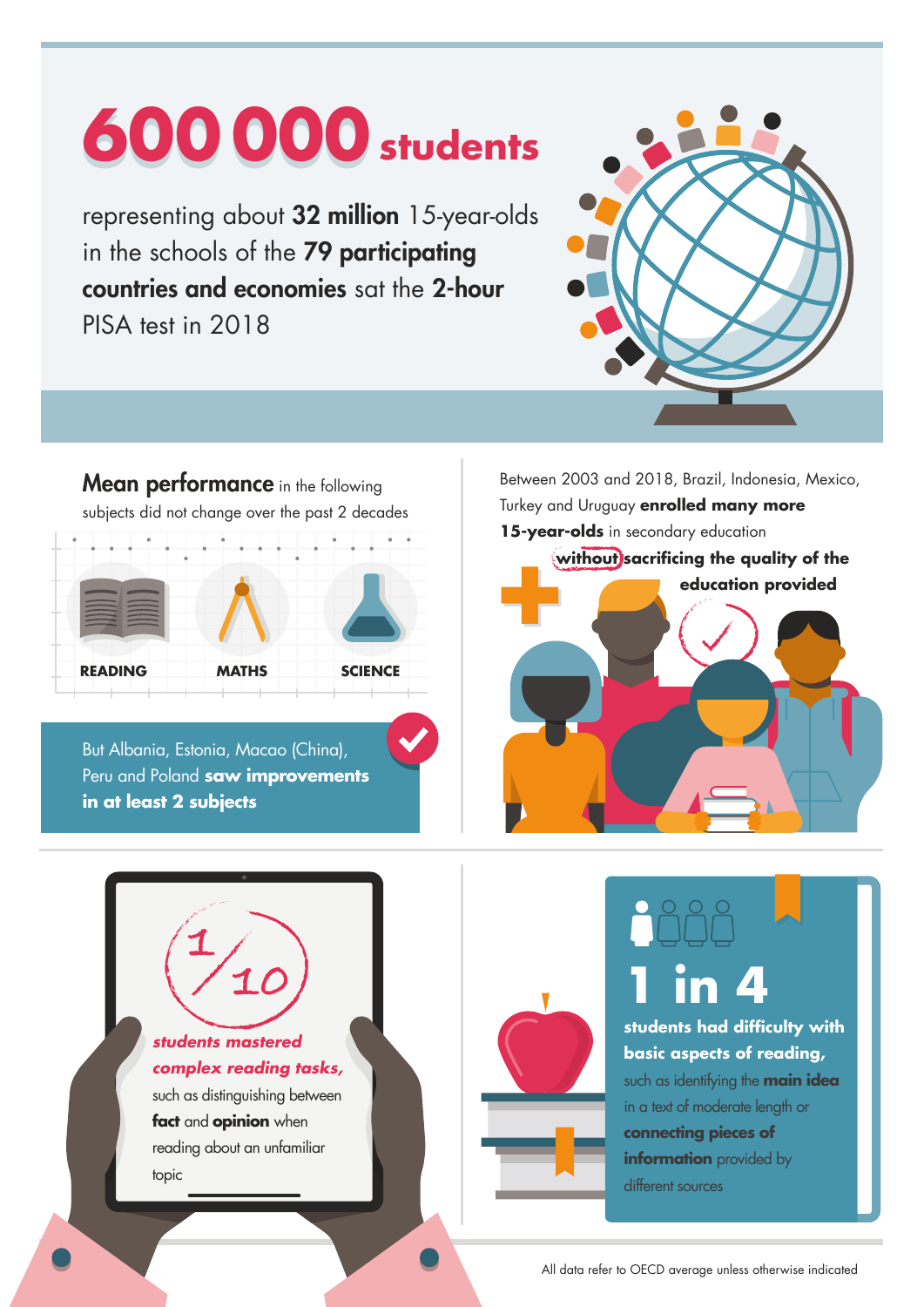# **600 600000 000students**

representing about 32 million 15-year-olds in the schools of the 79 participating countries and economies sat the 2-hour PISA test in 2018



**Mean performance** in the following subjects did not change over the past 2 decades  $\overline{\phantom{a}}$ **READING MATHS SCIENCE**

But Albania, Estonia, Macao (China), Peru and Poland **saw improvements in at least 2 subjects** 

Between 2003 and 2018, Brazil, Indonesia, Mexico, Turkey and Uruguay **enrolled many more 15-year-olds** in secondary education **without sacrificing the quality of the education provided**







**students had difficulty with basic aspects of reading,**

such as identifying the **main idea** in a text of moderate length or **connecting pieces of information** provided by different sources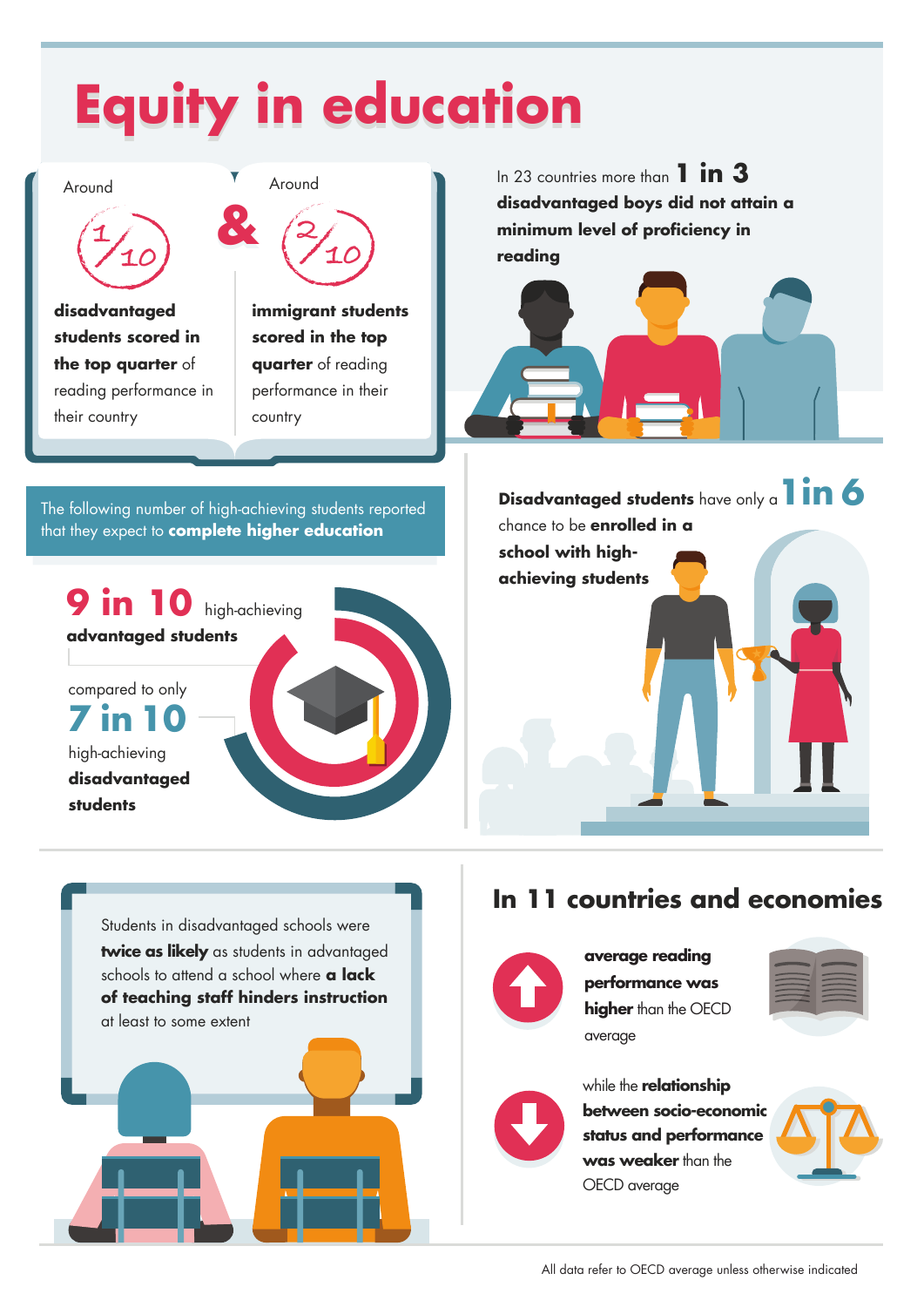## **Equity in education**

Around



**disadvantaged students scored in the top quarter** of reading performance in their country



**immigrant students scored in the top quarter** of reading performance in their country

In 23 countries more than **1 in 3 disadvantaged boys did not attain a minimum level of proficiency in reading**



The following number of high-achieving students reported that they expect to **complete higher education**

**9 in 10** high-achieving **advantaged students**

compared to only **7 in 10** high-achieving

**disadvantaged students**



**Disadvantaged students** have only a**1in 6**  chance to be **enrolled in a school with highachieving students**

Students in disadvantaged schools were **twice as likely** as students in advantaged schools to attend a school where **a lack of teaching staff hinders instruction** at least to some extent

#### **In 11 countries and economies**



**average reading performance was higher** than the OECD average





while the **relationship between socio-economic status and performance**  was weaker than the OECD average